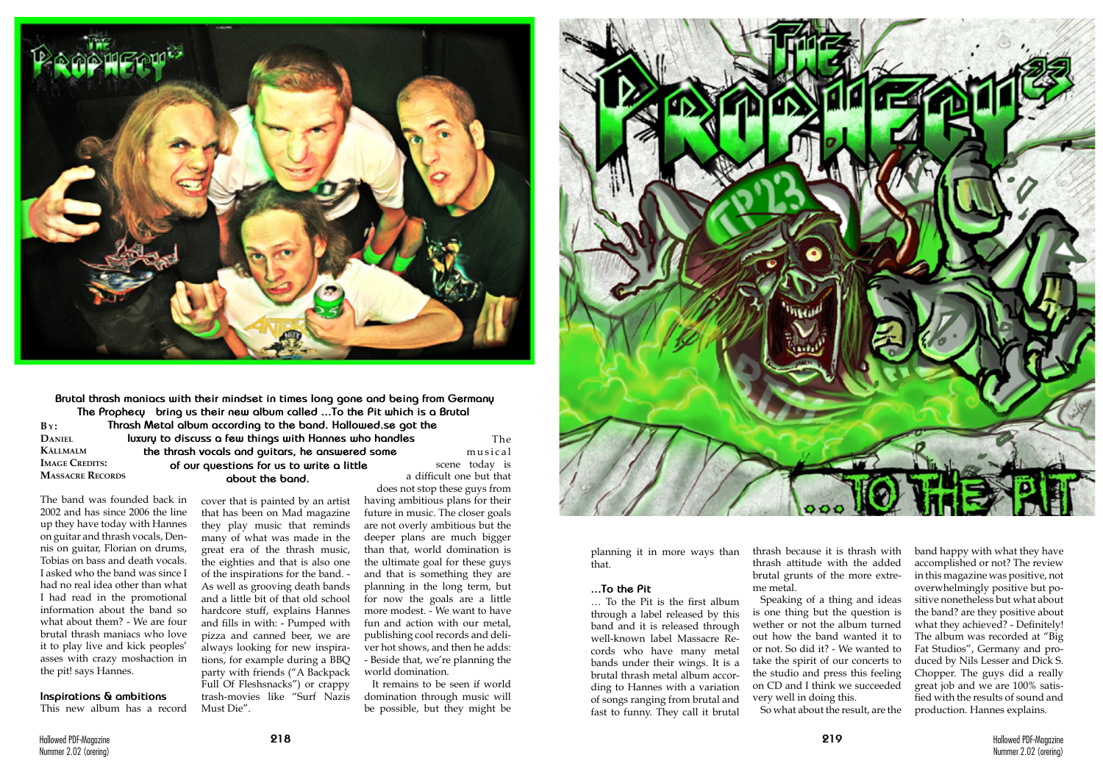The band was founded back in 2002 and has since 2006 the line up they have today with Hannes on guitar and thrash vocals, Dennis on guitar, Florian on drums, Tobias on bass and death vocals. I asked who the band was since I had no real idea other than what I had read in the promotional information about the band so what about them? - We are four brutal thrash maniacs who love it to play live and kick peoples' asses with crazy moshaction in the pit! says Hannes.



**Brutal thrash maniacs with their mindset in times long gone and being from Germany**  The Prophecy bring us their new album called ...To the Pit which is a Brutal **Thrash Metal album according to the band. Hallowed.se got the luxury to discuss a few things with Hannes who handles the thrash vocals and guitars, he answered some of our questions for us to write a little about the band.**  $\mathbf{B}$  $\mathbf{y}$ : **Daniel Källmalm IMAGE CREDITS: Massacre Records** a difficult one but that

### **Inspirations & ambitions**

This new album has a record

cover that is painted by an artist that has been on Mad magazine they play music that reminds many of what was made in the great era of the thrash music, the eighties and that is also one of the inspirations for the band. - As well as grooving death bands and a little bit of that old school hardcore stuff, explains Hannes and fills in with: - Pumped with pizza and canned beer, we are always looking for new inspirations, for example during a BBQ

party with friends ("A Backpack Full Of Fleshsnacks") or crappy trash-movies like "Surf Nazis Must Die".

The musical scene today is

does not stop these guys from having ambitious plans for their future in music. The closer goals are not overly ambitious but the deeper plans are much bigger than that, world domination is the ultimate goal for these guys and that is something they are planning in the long term, but for now the goals are a little more modest. - We want to have fun and action with our metal, publishing cool records and deliver hot shows, and then he adds: - Beside that, we're planning the world domination.

It remains to be seen if world domination through music will be possible, but they might be



planning it in more ways than that.

## **...To the Pit**

… To the Pit is the first album through a label released by this band and it is released through well-known label Massacre Records who have many metal bands under their wings. It is a brutal thrash metal album according to Hannes with a variation of songs ranging from brutal and fast to funny. They call it brutal

thrash because it is thrash with thrash attitude with the added brutal grunts of the more extreme metal.

Speaking of a thing and ideas is one thing but the question is wether or not the album turned out how the band wanted it to or not. So did it? - We wanted to take the spirit of our concerts to the studio and press this feeling on CD and I think we succeeded very well in doing this. So what about the result, are the

band happy with what they have accomplished or not? The review in this magazine was positive, not overwhelmingly positive but positive nonetheless but what about the band? are they positive about what they achieved? - Definitely! The album was recorded at "Big Fat Studios", Germany and produced by Nils Lesser and Dick S. Chopper. The guys did a really great job and we are 100% satisfied with the results of sound and production. Hannes explains.